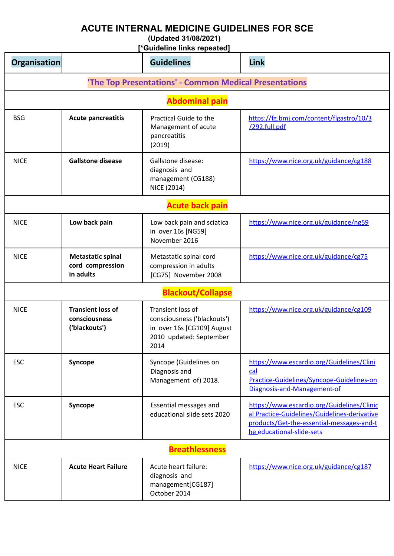## **ACUTE INTERNAL MEDICINE GUIDELINES FOR SCE**

**(Updated 31/08/2021)**

**[\*Guideline links repeated]**

| Organisation          |                                                            | <b>Guidelines</b>                                                                                                 | Link                                                                                                                                                                 |
|-----------------------|------------------------------------------------------------|-------------------------------------------------------------------------------------------------------------------|----------------------------------------------------------------------------------------------------------------------------------------------------------------------|
|                       |                                                            | 'The Top Presentations' - Common Medical Presentations                                                            |                                                                                                                                                                      |
|                       |                                                            | <b>Abdominal pain</b>                                                                                             |                                                                                                                                                                      |
| <b>BSG</b>            | <b>Acute pancreatitis</b>                                  | Practical Guide to the<br>Management of acute<br>pancreatitis<br>(2019)                                           | https://fg.bmj.com/content/flgastro/10/3<br>/292.full.pdf                                                                                                            |
| <b>NICE</b>           | <b>Gallstone disease</b>                                   | Gallstone disease:<br>diagnosis and<br>management (CG188)<br>NICE (2014)                                          | https://www.nice.org.uk/guidance/cg188                                                                                                                               |
|                       |                                                            | <b>Acute back pain</b>                                                                                            |                                                                                                                                                                      |
| <b>NICE</b>           | Low back pain                                              | Low back pain and sciatica<br>in over 16s [NG59]<br>November 2016                                                 | https://www.nice.org.uk/guidance/ng59                                                                                                                                |
| <b>NICE</b>           | <b>Metastatic spinal</b><br>cord compression<br>in adults  | Metastatic spinal cord<br>compression in adults<br>[CG75] November 2008                                           | https://www.nice.org.uk/guidance/cg75                                                                                                                                |
|                       |                                                            | <b>Blackout/Collapse</b>                                                                                          |                                                                                                                                                                      |
| <b>NICE</b>           | <b>Transient loss of</b><br>consciousness<br>('blackouts') | Transient loss of<br>consciousness ('blackouts')<br>in over 16s [CG109] August<br>2010 updated: September<br>2014 | https://www.nice.org.uk/guidance/cg109                                                                                                                               |
| <b>ESC</b>            | Syncope                                                    | Syncope (Guidelines on<br>Diagnosis and<br>Management of) 2018.                                                   | https://www.escardio.org/Guidelines/Clini<br>cal<br>Practice-Guidelines/Syncope-Guidelines-on<br>Diagnosis-and-Management-of                                         |
| <b>ESC</b>            | Syncope                                                    | Essential messages and<br>educational slide sets 2020                                                             | https://www.escardio.org/Guidelines/Clinic<br>al Practice-Guidelines/Guidelines-derivative<br>products/Get-the-essential-messages-and-t<br>he educational-slide-sets |
| <b>Breathlessness</b> |                                                            |                                                                                                                   |                                                                                                                                                                      |
| <b>NICE</b>           | <b>Acute Heart Failure</b>                                 | Acute heart failure:<br>diagnosis and<br>management[CG187]<br>October 2014                                        | https://www.nice.org.uk/guidance/cg187                                                                                                                               |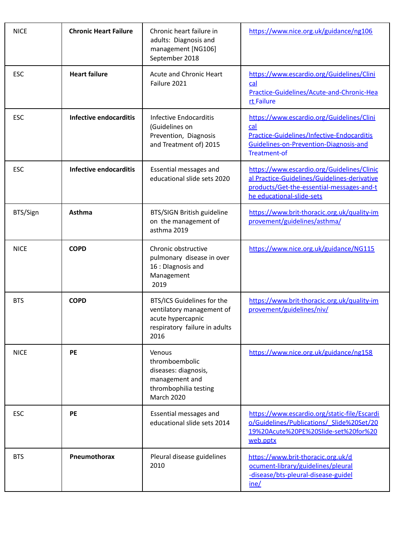| <b>NICE</b> | <b>Chronic Heart Failure</b>  | Chronic heart failure in<br>adults: Diagnosis and<br>management [NG106]<br>September 2018                             | https://www.nice.org.uk/guidance/ng106                                                                                                                               |
|-------------|-------------------------------|-----------------------------------------------------------------------------------------------------------------------|----------------------------------------------------------------------------------------------------------------------------------------------------------------------|
| <b>ESC</b>  | <b>Heart failure</b>          | Acute and Chronic Heart<br>Failure 2021                                                                               | https://www.escardio.org/Guidelines/Clini<br>cal<br>Practice-Guidelines/Acute-and-Chronic-Hea<br>rt Failure                                                          |
| <b>ESC</b>  | <b>Infective endocarditis</b> | Infective Endocarditis<br>(Guidelines on<br>Prevention, Diagnosis<br>and Treatment of) 2015                           | https://www.escardio.org/Guidelines/Clini<br>cal<br>Practice-Guidelines/Infective-Endocarditis<br>Guidelines-on-Prevention-Diagnosis-and<br><b>Treatment-of</b>      |
| <b>ESC</b>  | <b>Infective endocarditis</b> | Essential messages and<br>educational slide sets 2020                                                                 | https://www.escardio.org/Guidelines/Clinic<br>al Practice-Guidelines/Guidelines-derivative<br>products/Get-the-essential-messages-and-t<br>he educational-slide-sets |
| BTS/Sign    | <b>Asthma</b>                 | <b>BTS/SIGN British guideline</b><br>on the management of<br>asthma 2019                                              | https://www.brit-thoracic.org.uk/quality-im<br>provement/guidelines/asthma/                                                                                          |
| <b>NICE</b> | <b>COPD</b>                   | Chronic obstructive<br>pulmonary disease in over<br>16 : Dlagnosis and<br>Management<br>2019                          | https://www.nice.org.uk/guidance/NG115                                                                                                                               |
| <b>BTS</b>  | <b>COPD</b>                   | BTS/ICS Guidelines for the<br>ventilatory management of<br>acute hypercapnic<br>respiratory failure in adults<br>2016 | https://www.brit-thoracic.org.uk/quality-im<br>provement/guidelines/niv/                                                                                             |
| <b>NICE</b> | PE                            | Venous<br>thromboembolic<br>diseases: diagnosis,<br>management and<br>thrombophilia testing<br><b>March 2020</b>      | https://www.nice.org.uk/guidance/ng158                                                                                                                               |
| <b>ESC</b>  | <b>PE</b>                     | Essential messages and<br>educational slide sets 2014                                                                 | https://www.escardio.org/static-file/Escardi<br>o/Guidelines/Publications/ Slide%20Set/20<br>19%20Acute%20PE%20Slide-set%20for%20<br>web.pptx                        |
| <b>BTS</b>  | Pneumothorax                  | Pleural disease guidelines<br>2010                                                                                    | https://www.brit-thoracic.org.uk/d<br>ocument-library/guidelines/pleural<br>-disease/bts-pleural-disease-guidel<br>ine/                                              |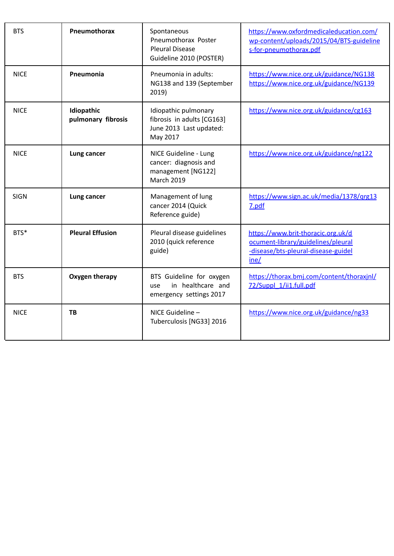| <b>BTS</b>  | Pneumothorax                     | Spontaneous<br>Pneumothorax Poster<br><b>Pleural Disease</b><br>Guideline 2010 (POSTER)   | https://www.oxfordmedicaleducation.com/<br>wp-content/uploads/2015/04/BTS-guideline<br>s-for-pneumothorax.pdf           |
|-------------|----------------------------------|-------------------------------------------------------------------------------------------|-------------------------------------------------------------------------------------------------------------------------|
| <b>NICE</b> | Pneumonia                        | Pneumonia in adults:<br>NG138 and 139 (September<br>2019)                                 | https://www.nice.org.uk/guidance/NG138<br>https://www.nice.org.uk/guidance/NG139                                        |
| <b>NICE</b> | Idiopathic<br>pulmonary fibrosis | Idiopathic pulmonary<br>fibrosis in adults [CG163]<br>June 2013 Last updated:<br>May 2017 | https://www.nice.org.uk/guidance/cg163                                                                                  |
| <b>NICE</b> | Lung cancer                      | NICE Guideline - Lung<br>cancer: diagnosis and<br>management [NG122]<br><b>March 2019</b> | https://www.nice.org.uk/guidance/ng122                                                                                  |
| <b>SIGN</b> | Lung cancer                      | Management of lung<br>cancer 2014 (Quick<br>Reference guide)                              | https://www.sign.ac.uk/media/1378/grg13<br>7.pdf                                                                        |
| BTS*        | <b>Pleural Effusion</b>          | Pleural disease guidelines<br>2010 (quick reference<br>guide)                             | https://www.brit-thoracic.org.uk/d<br>ocument-library/guidelines/pleural<br>-disease/bts-pleural-disease-guidel<br>ine/ |
| <b>BTS</b>  | Oxygen therapy                   | BTS Guideline for oxygen<br>in healthcare and<br>use<br>emergency settings 2017           | https://thorax.bmj.com/content/thoraxjnl/<br>72/Suppl 1/ii1.full.pdf                                                    |
| <b>NICE</b> | TB                               | NICE Guideline -<br>Tuberculosis [NG33] 2016                                              | https://www.nice.org.uk/guidance/ng33                                                                                   |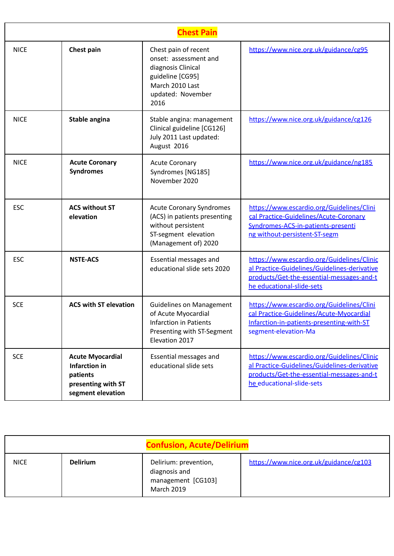|             | <b>Chest Pain</b>                                                                                      |                                                                                                                                         |                                                                                                                                                                      |  |
|-------------|--------------------------------------------------------------------------------------------------------|-----------------------------------------------------------------------------------------------------------------------------------------|----------------------------------------------------------------------------------------------------------------------------------------------------------------------|--|
| <b>NICE</b> | Chest pain                                                                                             | Chest pain of recent<br>onset: assessment and<br>diagnosis Clinical<br>guideline [CG95]<br>March 2010 Last<br>updated: November<br>2016 | https://www.nice.org.uk/guidance/cg95                                                                                                                                |  |
| <b>NICE</b> | Stable angina                                                                                          | Stable angina: management<br>Clinical guideline [CG126]<br>July 2011 Last updated:<br>August 2016                                       | https://www.nice.org.uk/guidance/cg126                                                                                                                               |  |
| <b>NICE</b> | <b>Acute Coronary</b><br><b>Syndromes</b>                                                              | <b>Acute Coronary</b><br>Syndromes [NG185]<br>November 2020                                                                             | https://www.nice.org.uk/guidance/ng185                                                                                                                               |  |
| <b>ESC</b>  | <b>ACS without ST</b><br>elevation                                                                     | <b>Acute Coronary Syndromes</b><br>(ACS) in patients presenting<br>without persistent<br>ST-segment elevation<br>(Management of) 2020   | https://www.escardio.org/Guidelines/Clini<br>cal Practice-Guidelines/Acute-Coronary<br>Syndromes-ACS-in-patients-presenti<br>ng without-persistent-ST-segm           |  |
| <b>ESC</b>  | <b>NSTE-ACS</b>                                                                                        | Essential messages and<br>educational slide sets 2020                                                                                   | https://www.escardio.org/Guidelines/Clinic<br>al Practice-Guidelines/Guidelines-derivative<br>products/Get-the-essential-messages-and-t<br>he educational-slide-sets |  |
| <b>SCE</b>  | <b>ACS with ST elevation</b>                                                                           | <b>Guidelines on Management</b><br>of Acute Myocardial<br><b>Infarction in Patients</b><br>Presenting with ST-Segment<br>Elevation 2017 | https://www.escardio.org/Guidelines/Clini<br>cal Practice-Guidelines/Acute-Myocardial<br>Infarction-in-patients-presenting-with-ST<br>segment-elevation-Ma           |  |
| <b>SCE</b>  | <b>Acute Myocardial</b><br><b>Infarction in</b><br>patients<br>presenting with ST<br>segment elevation | Essential messages and<br>educational slide sets                                                                                        | https://www.escardio.org/Guidelines/Clinic<br>al Practice-Guidelines/Guidelines-derivative<br>products/Get-the-essential-messages-and-t<br>he educational-slide-sets |  |

|             |                 | <b>Confusion, Acute/Delirium</b>                                                  |                                        |
|-------------|-----------------|-----------------------------------------------------------------------------------|----------------------------------------|
| <b>NICE</b> | <b>Delirium</b> | Delirium: prevention,<br>diagnosis and<br>management [CG103]<br><b>March 2019</b> | https://www.nice.org.uk/guidance/cg103 |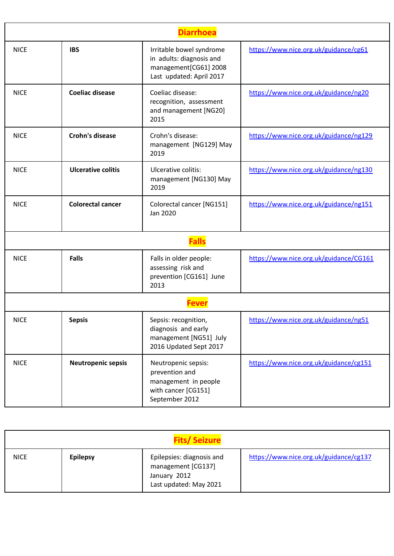| <b>Diarrhoea</b> |                           |                                                                                                           |                                        |
|------------------|---------------------------|-----------------------------------------------------------------------------------------------------------|----------------------------------------|
| <b>NICE</b>      | <b>IBS</b>                | Irritable bowel syndrome<br>in adults: diagnosis and<br>management[CG61] 2008<br>Last updated: April 2017 | https://www.nice.org.uk/guidance/cg61  |
| <b>NICE</b>      | <b>Coeliac disease</b>    | Coeliac disease:<br>recognition, assessment<br>and management [NG20]<br>2015                              | https://www.nice.org.uk/guidance/ng20  |
| <b>NICE</b>      | <b>Crohn's disease</b>    | Crohn's disease:<br>management [NG129] May<br>2019                                                        | https://www.nice.org.uk/guidance/ng129 |
| <b>NICE</b>      | <b>Ulcerative colitis</b> | Ulcerative colitis:<br>management [NG130] May<br>2019                                                     | https://www.nice.org.uk/guidance/ng130 |
| <b>NICE</b>      | <b>Colorectal cancer</b>  | Colorectal cancer [NG151]<br>Jan 2020                                                                     | https://www.nice.org.uk/guidance/ng151 |
|                  |                           | <b>Falls</b>                                                                                              |                                        |
| <b>NICE</b>      | <b>Falls</b>              | Falls in older people:<br>assessing risk and<br>prevention [CG161] June<br>2013                           | https://www.nice.org.uk/guidance/CG161 |
|                  |                           | eve                                                                                                       |                                        |
| <b>NICE</b>      | <b>Sepsis</b>             | Sepsis: recognition,<br>diagnosis and early<br>management [NG51] July<br>2016 Updated Sept 2017           | https://www.nice.org.uk/guidance/ng51  |
| <b>NICE</b>      | <b>Neutropenic sepsis</b> | Neutropenic sepsis:<br>prevention and<br>management in people<br>with cancer [CG151]<br>September 2012    | https://www.nice.org.uk/guidance/cg151 |

| <b>Fits/Seizure</b> |                 |                                                                                           |                                        |  |
|---------------------|-----------------|-------------------------------------------------------------------------------------------|----------------------------------------|--|
| <b>NICE</b>         | <b>Epilepsy</b> | Epilepsies: diagnosis and<br>management [CG137]<br>January 2012<br>Last updated: May 2021 | https://www.nice.org.uk/guidance/cg137 |  |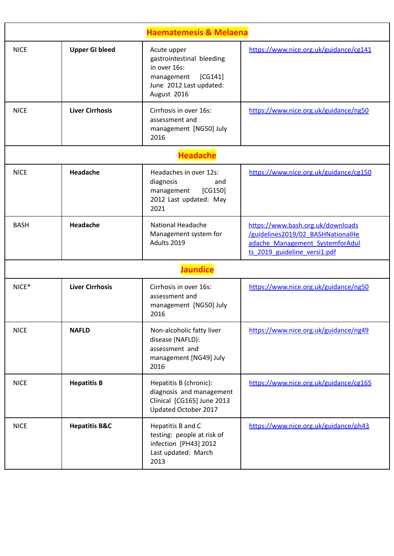|             |                          | <b>Haematemesis &amp; Melaena</b>                                                                                           |                                                                                                                                           |
|-------------|--------------------------|-----------------------------------------------------------------------------------------------------------------------------|-------------------------------------------------------------------------------------------------------------------------------------------|
| <b>NICE</b> | <b>Upper GI bleed</b>    | Acute upper<br>gastrointestinal bleeding<br>in over 16s:<br>management<br>[CG141]<br>June 2012 Last updated:<br>August 2016 | https://www.nice.org.uk/guidance/cg141                                                                                                    |
| <b>NICE</b> | <b>Liver Cirrhosis</b>   | Cirrhosis in over 16s:<br>assessment and<br>management [NG50] July<br>2016                                                  | https://www.nice.org.uk/guidance/ng50                                                                                                     |
|             |                          | <b>Headache</b>                                                                                                             |                                                                                                                                           |
| <b>NICE</b> | Headache                 | Headaches in over 12s:<br>diagnosis<br>and<br>[CG150]<br>management<br>2012 Last updated: May<br>2021                       | https://www.nice.org.uk/guidance/cg150                                                                                                    |
| <b>BASH</b> | Headache                 | <b>National Headache</b><br>Management system for<br>Adults 2019                                                            | https://www.bash.org.uk/downloads<br>/guidelines2019/02 BASHNationalHe<br>adache Management SystemforAdul<br>ts 2019 guideline versi1.pdf |
|             |                          | <b>Jaundice</b>                                                                                                             |                                                                                                                                           |
| NICE*       | <b>Liver Cirrhosis</b>   | Cirrhosis in over 16s:<br>assessment and<br>management [NG50] July<br>2016                                                  | https://www.nice.org.uk/guidance/ng50                                                                                                     |
| <b>NICE</b> | <b>NAFLD</b>             | Non-alcoholic fatty liver<br>disease (NAFLD):<br>assessment and<br>management [NG49] July<br>2016                           | https://www.nice.org.uk/guidance/ng49                                                                                                     |
| <b>NICE</b> | <b>Hepatitis B</b>       | Hepatitis B (chronic):<br>diagnosis and management<br>Clinical [CG165] June 2013<br>Updated October 2017                    | https://www.nice.org.uk/guidance/cg165                                                                                                    |
| <b>NICE</b> | <b>Hepatitis B&amp;C</b> | Hepatitis B and C<br>testing: people at risk of<br>infection [PH43] 2012<br>Last updated: March<br>2013                     | https://www.nice.org.uk/guidance/ph43                                                                                                     |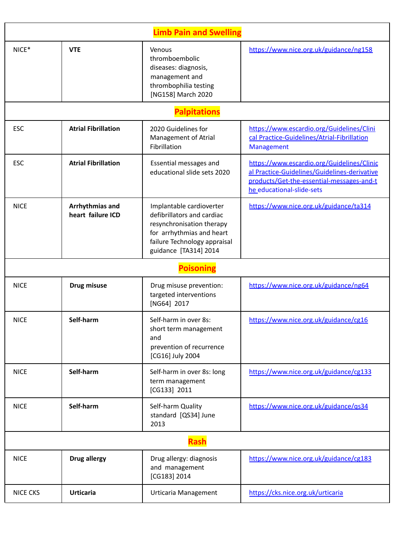|                 |                                      | <b>Limb Pain and Swelling</b>                                                                                                                                             |                                                                                                                                                                      |
|-----------------|--------------------------------------|---------------------------------------------------------------------------------------------------------------------------------------------------------------------------|----------------------------------------------------------------------------------------------------------------------------------------------------------------------|
| NICE*           | <b>VTE</b>                           | Venous<br>thromboembolic<br>diseases: diagnosis,<br>management and<br>thrombophilia testing<br>[NG158] March 2020                                                         | https://www.nice.org.uk/guidance/ng158                                                                                                                               |
|                 |                                      | <b>Palpitations</b>                                                                                                                                                       |                                                                                                                                                                      |
| <b>ESC</b>      | <b>Atrial Fibrillation</b>           | 2020 Guidelines for<br>Management of Atrial<br>Fibrillation                                                                                                               | https://www.escardio.org/Guidelines/Clini<br>cal Practice-Guidelines/Atrial-Fibrillation<br><b>Management</b>                                                        |
| <b>ESC</b>      | <b>Atrial Fibrillation</b>           | Essential messages and<br>educational slide sets 2020                                                                                                                     | https://www.escardio.org/Guidelines/Clinic<br>al Practice-Guidelines/Guidelines-derivative<br>products/Get-the-essential-messages-and-t<br>he_educational-slide-sets |
| <b>NICE</b>     | Arrhythmias and<br>heart failure ICD | Implantable cardioverter<br>defibrillators and cardiac<br>resynchronisation therapy<br>for arrhythmias and heart<br>failure Technology appraisal<br>guidance [TA314] 2014 | https://www.nice.org.uk/guidance/ta314                                                                                                                               |
|                 |                                      | <b>Poisoning</b>                                                                                                                                                          |                                                                                                                                                                      |
| <b>NICE</b>     | Drug misuse                          | Drug misuse prevention:<br>targeted interventions<br>[NG64] 2017                                                                                                          | https://www.nice.org.uk/guidance/ng64                                                                                                                                |
| <b>NICE</b>     | Self-harm                            | Self-harm in over 8s:<br>short term management<br>and<br>prevention of recurrence<br>[CG16] July 2004                                                                     | https://www.nice.org.uk/guidance/cg16                                                                                                                                |
| <b>NICE</b>     | Self-harm                            | Self-harm in over 8s: long<br>term management<br>[CG133] 2011                                                                                                             | https://www.nice.org.uk/guidance/cg133                                                                                                                               |
| <b>NICE</b>     | Self-harm                            | Self-harm Quality<br>standard [QS34] June<br>2013                                                                                                                         | https://www.nice.org.uk/guidance/gs34                                                                                                                                |
|                 |                                      | Rash                                                                                                                                                                      |                                                                                                                                                                      |
| <b>NICE</b>     | <b>Drug allergy</b>                  | Drug allergy: diagnosis<br>and management<br>[CG183] 2014                                                                                                                 | https://www.nice.org.uk/guidance/cg183                                                                                                                               |
| <b>NICE CKS</b> | <b>Urticaria</b>                     | Urticaria Management                                                                                                                                                      | https://cks.nice.org.uk/urticaria                                                                                                                                    |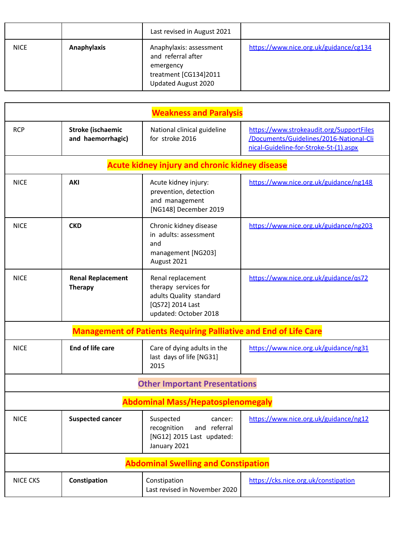|             |                    | Last revised in August 2021                                                                                |                                        |
|-------------|--------------------|------------------------------------------------------------------------------------------------------------|----------------------------------------|
| <b>NICE</b> | <b>Anaphylaxis</b> | Anaphylaxis: assessment<br>and referral after<br>emergency<br>treatment [CG134]2011<br>Updated August 2020 | https://www.nice.org.uk/guidance/cg134 |

| <b>Weakness and Paralysis</b> |                                               |                                                                                                                   |                                                                                                                               |
|-------------------------------|-----------------------------------------------|-------------------------------------------------------------------------------------------------------------------|-------------------------------------------------------------------------------------------------------------------------------|
| <b>RCP</b>                    | <b>Stroke (ischaemic</b><br>and haemorrhagic) | National clinical guideline<br>for stroke 2016                                                                    | https://www.strokeaudit.org/SupportFiles<br>/Documents/Guidelines/2016-National-Cli<br>nical-Guideline-for-Stroke-5t-(1).aspx |
|                               |                                               | <b>Acute kidney injury and chronic kidney disease</b>                                                             |                                                                                                                               |
| <b>NICE</b>                   | AKI                                           | Acute kidney injury:<br>prevention, detection<br>and management<br>[NG148] December 2019                          | https://www.nice.org.uk/guidance/ng148                                                                                        |
| <b>NICE</b>                   | <b>CKD</b>                                    | Chronic kidney disease<br>in adults: assessment<br>and<br>management [NG203]<br>August 2021                       | https://www.nice.org.uk/guidance/ng203                                                                                        |
| <b>NICE</b>                   | <b>Renal Replacement</b><br><b>Therapy</b>    | Renal replacement<br>therapy services for<br>adults Quality standard<br>[QS72] 2014 Last<br>updated: October 2018 | https://www.nice.org.uk/guidance/gs72                                                                                         |
|                               |                                               | <b>Management of Patients Requiring Palliative and End of Life Care</b>                                           |                                                                                                                               |
| <b>NICE</b>                   | End of life care                              | Care of dying adults in the<br>last days of life [NG31]<br>2015                                                   | https://www.nice.org.uk/guidance/ng31                                                                                         |
|                               |                                               | <b>Other Important Presentations</b>                                                                              |                                                                                                                               |
|                               |                                               | <b>Abdominal Mass/Hepatosplenomegaly</b>                                                                          |                                                                                                                               |
| <b>NICE</b>                   | <b>Suspected cancer</b>                       | Suspected<br>cancer:<br>recognition<br>and referral<br>[NG12] 2015 Last updated:<br>January 2021                  | https://www.nice.org.uk/guidance/ng12                                                                                         |
|                               |                                               | <b>Abdominal Swelling and Constipation</b>                                                                        |                                                                                                                               |
| <b>NICE CKS</b>               | Constipation                                  | Constipation<br>Last revised in November 2020                                                                     | https://cks.nice.org.uk/constipation                                                                                          |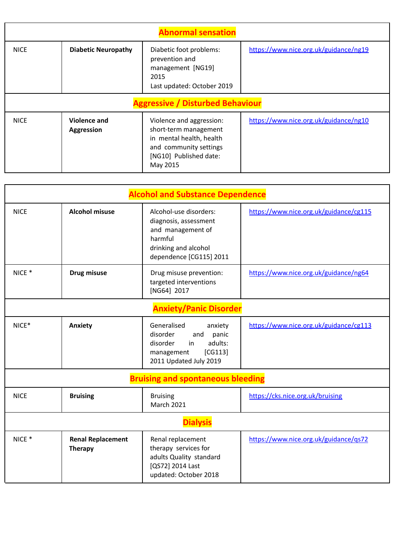| <b>Abnormal sensation</b> |                                         |                                                                                                                                               |                                       |  |
|---------------------------|-----------------------------------------|-----------------------------------------------------------------------------------------------------------------------------------------------|---------------------------------------|--|
| <b>NICE</b>               | <b>Diabetic Neuropathy</b>              | Diabetic foot problems:<br>prevention and<br>management [NG19]<br>2015<br>Last updated: October 2019                                          | https://www.nice.org.uk/guidance/ng19 |  |
|                           | <b>Aggressive / Disturbed Behaviour</b> |                                                                                                                                               |                                       |  |
| <b>NICE</b>               | Violence and<br><b>Aggression</b>       | Violence and aggression:<br>short-term management<br>in mental health, health<br>and community settings<br>[NG10] Published date:<br>May 2015 | https://www.nice.org.uk/guidance/ng10 |  |

| <b>Alcohol and Substance Dependence</b> |                                            |                                                                                                                                    |                                        |  |
|-----------------------------------------|--------------------------------------------|------------------------------------------------------------------------------------------------------------------------------------|----------------------------------------|--|
| <b>NICE</b>                             | <b>Alcohol misuse</b>                      | Alcohol-use disorders:<br>diagnosis, assessment<br>and management of<br>harmful<br>drinking and alcohol<br>dependence [CG115] 2011 | https://www.nice.org.uk/guidance/cg115 |  |
| $NICE *$                                | Drug misuse                                | Drug misuse prevention:<br>targeted interventions<br>[NG64] 2017                                                                   | https://www.nice.org.uk/guidance/ng64  |  |
|                                         |                                            | <b>Anxiety/Panic Disorder</b>                                                                                                      |                                        |  |
| NICE*                                   | Anxiety                                    | Generalised<br>anxiety<br>disorder<br>and<br>panic<br>disorder<br>adults:<br>in<br>[CG113]<br>management<br>2011 Updated July 2019 | https://www.nice.org.uk/guidance/cg113 |  |
|                                         |                                            | <b>Bruising and spontaneous bleeding</b>                                                                                           |                                        |  |
| <b>NICE</b>                             | <b>Bruising</b>                            | <b>Bruising</b><br><b>March 2021</b>                                                                                               | https://cks.nice.org.uk/bruising       |  |
| <b>Dialysis</b>                         |                                            |                                                                                                                                    |                                        |  |
| NICE <sup>*</sup>                       | <b>Renal Replacement</b><br><b>Therapy</b> | Renal replacement<br>therapy services for<br>adults Quality standard<br>[QS72] 2014 Last<br>updated: October 2018                  | https://www.nice.org.uk/guidance/qs72  |  |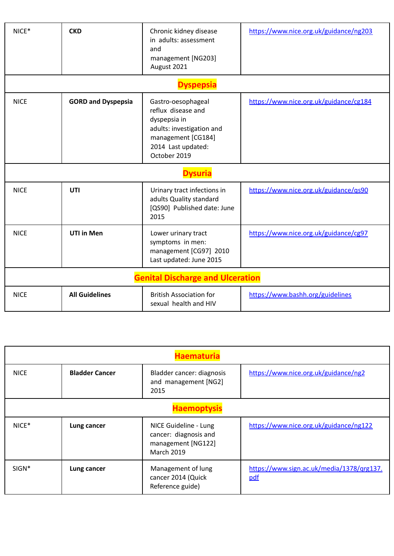| NICE*                                   | <b>CKD</b>                | Chronic kidney disease<br>in adults: assessment<br>and<br>management [NG203]<br>August 2021                                                       | https://www.nice.org.uk/guidance/ng203 |  |
|-----------------------------------------|---------------------------|---------------------------------------------------------------------------------------------------------------------------------------------------|----------------------------------------|--|
|                                         |                           | <b>Dyspepsia</b>                                                                                                                                  |                                        |  |
| <b>NICE</b>                             | <b>GORD and Dyspepsia</b> | Gastro-oesophageal<br>reflux disease and<br>dyspepsia in<br>adults: investigation and<br>management [CG184]<br>2014 Last updated:<br>October 2019 | https://www.nice.org.uk/guidance/cg184 |  |
|                                         |                           | <b>Dysuria</b>                                                                                                                                    |                                        |  |
| <b>NICE</b>                             | UTI                       | Urinary tract infections in<br>adults Quality standard<br>[QS90] Published date: June<br>2015                                                     | https://www.nice.org.uk/guidance/gs90  |  |
| <b>NICE</b>                             | <b>UTI in Men</b>         | Lower urinary tract<br>symptoms in men:<br>management [CG97] 2010<br>Last updated: June 2015                                                      | https://www.nice.org.uk/guidance/cg97  |  |
| <b>Genital Discharge and Ulceration</b> |                           |                                                                                                                                                   |                                        |  |
| <b>NICE</b>                             | <b>All Guidelines</b>     | <b>British Association for</b><br>sexual health and HIV                                                                                           | https://www.bashh.org/guidelines       |  |

| <b>Haematuria</b>  |                       |                                                                                           |                                                  |  |
|--------------------|-----------------------|-------------------------------------------------------------------------------------------|--------------------------------------------------|--|
| <b>NICE</b>        | <b>Bladder Cancer</b> | Bladder cancer: diagnosis<br>and management [NG2]<br>2015                                 | https://www.nice.org.uk/guidance/ng2             |  |
| <b>Haemoptysis</b> |                       |                                                                                           |                                                  |  |
| $NICE*$            | Lung cancer           | NICE Guideline - Lung<br>cancer: diagnosis and<br>management [NG122]<br><b>March 2019</b> | https://www.nice.org.uk/guidance/ng122           |  |
| $SIGN*$            | Lung cancer           | Management of lung<br>cancer 2014 (Quick<br>Reference guide)                              | https://www.sign.ac.uk/media/1378/qrg137.<br>pdf |  |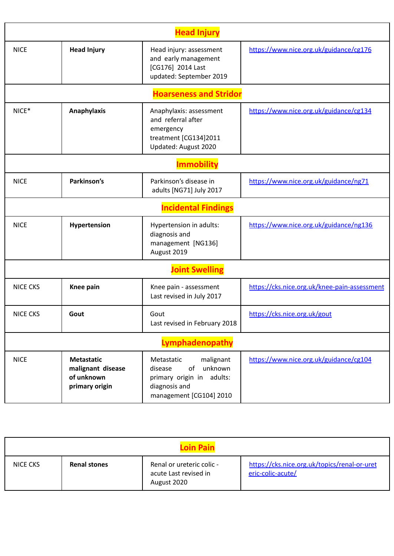| <b>Head Injury</b> |                                                                        |                                                                                                                              |                                              |  |
|--------------------|------------------------------------------------------------------------|------------------------------------------------------------------------------------------------------------------------------|----------------------------------------------|--|
| <b>NICE</b>        | <b>Head Injury</b>                                                     | Head injury: assessment<br>and early management<br>[CG176] 2014 Last<br>updated: September 2019                              | https://www.nice.org.uk/guidance/cg176       |  |
|                    |                                                                        | <b>Hoarseness and Stridor</b>                                                                                                |                                              |  |
| $NICE*$            | <b>Anaphylaxis</b>                                                     | Anaphylaxis: assessment<br>and referral after<br>emergency<br>treatment [CG134]2011<br>Updated: August 2020                  | https://www.nice.org.uk/guidance/cg134       |  |
|                    |                                                                        | <b>Immobility</b>                                                                                                            |                                              |  |
| <b>NICE</b>        | Parkinson's                                                            | Parkinson's disease in<br>adults [NG71] July 2017                                                                            | https://www.nice.org.uk/guidance/ng71        |  |
|                    |                                                                        | <b>Incidental Findings</b>                                                                                                   |                                              |  |
| <b>NICE</b>        | Hypertension                                                           | Hypertension in adults:<br>diagnosis and<br>management [NG136]<br>August 2019                                                | https://www.nice.org.uk/guidance/ng136       |  |
|                    |                                                                        | <b>Joint Swelling</b>                                                                                                        |                                              |  |
| <b>NICE CKS</b>    | Knee pain                                                              | Knee pain - assessment<br>Last revised in July 2017                                                                          | https://cks.nice.org.uk/knee-pain-assessment |  |
| <b>NICE CKS</b>    | Gout                                                                   | Gout<br>Last revised in February 2018                                                                                        | https://cks.nice.org.uk/gout                 |  |
|                    |                                                                        | Lymphadenopathy                                                                                                              |                                              |  |
| <b>NICE</b>        | <b>Metastatic</b><br>malignant disease<br>of unknown<br>primary origin | malignant<br>Metastatic<br>unknown<br>of<br>disease<br>primary origin in adults:<br>diagnosis and<br>management [CG104] 2010 | https://www.nice.org.uk/guidance/cg104       |  |

| <b>Loin Pain</b> |                     |                                                                   |                                                                   |  |
|------------------|---------------------|-------------------------------------------------------------------|-------------------------------------------------------------------|--|
| NICE CKS         | <b>Renal stones</b> | Renal or ureteric colic -<br>acute Last revised in<br>August 2020 | https://cks.nice.org.uk/topics/renal-or-uret<br>eric-colic-acute/ |  |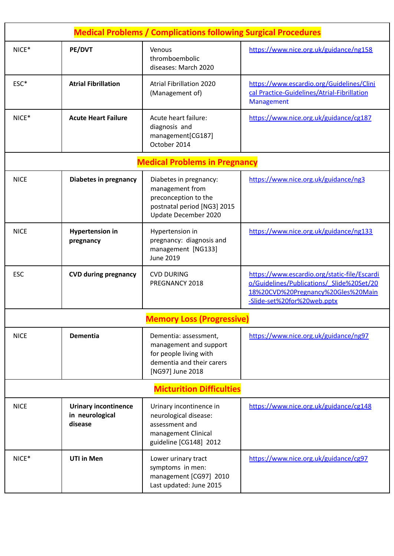| <b>Medical Problems / Complications following Surgical Procedures</b> |                                                           |                                                                                                                            |                                                                                                                                                                |  |
|-----------------------------------------------------------------------|-----------------------------------------------------------|----------------------------------------------------------------------------------------------------------------------------|----------------------------------------------------------------------------------------------------------------------------------------------------------------|--|
| NICE*                                                                 | PE/DVT                                                    | Venous<br>thromboembolic<br>diseases: March 2020                                                                           | https://www.nice.org.uk/guidance/ng158                                                                                                                         |  |
| ESC*                                                                  | <b>Atrial Fibrillation</b>                                | <b>Atrial Fibrillation 2020</b><br>(Management of)                                                                         | https://www.escardio.org/Guidelines/Clini<br>cal Practice-Guidelines/Atrial-Fibrillation<br>Management                                                         |  |
| $NICE*$                                                               | <b>Acute Heart Failure</b>                                | Acute heart failure:<br>diagnosis and<br>management[CG187]<br>October 2014                                                 | https://www.nice.org.uk/guidance/cg187                                                                                                                         |  |
|                                                                       |                                                           | <b>Medical Problems in Pregnancy</b>                                                                                       |                                                                                                                                                                |  |
| <b>NICE</b>                                                           | <b>Diabetes in pregnancy</b>                              | Diabetes in pregnancy:<br>management from<br>preconception to the<br>postnatal period [NG3] 2015<br>Update December 2020   | https://www.nice.org.uk/guidance/ng3                                                                                                                           |  |
| <b>NICE</b>                                                           | <b>Hypertension in</b><br>pregnancy                       | Hypertension in<br>pregnancy: diagnosis and<br>management [NG133]<br>June 2019                                             | https://www.nice.org.uk/guidance/ng133                                                                                                                         |  |
| <b>ESC</b>                                                            | <b>CVD during pregnancy</b>                               | <b>CVD DURING</b><br>PREGNANCY 2018                                                                                        | https://www.escardio.org/static-file/Escardi<br>o/Guidelines/Publications/ Slide%20Set/20<br>18%20CVD%20Pregnancy%20Gles%20Main<br>-Slide-set%20for%20web.pptx |  |
|                                                                       |                                                           | <b>Memory Loss (Progressive)</b>                                                                                           |                                                                                                                                                                |  |
| <b>NICE</b>                                                           | <b>Dementia</b>                                           | Dementia: assessment,<br>management and support<br>for people living with<br>dementia and their carers<br>[NG97] June 2018 | https://www.nice.org.uk/guidance/ng97                                                                                                                          |  |
| <b>Micturition Difficulties</b>                                       |                                                           |                                                                                                                            |                                                                                                                                                                |  |
| <b>NICE</b>                                                           | <b>Urinary incontinence</b><br>in neurological<br>disease | Urinary incontinence in<br>neurological disease:<br>assessment and<br>management Clinical<br>guideline [CG148] 2012        | https://www.nice.org.uk/guidance/cg148                                                                                                                         |  |
| NICE*                                                                 | <b>UTI in Men</b>                                         | Lower urinary tract<br>symptoms in men:<br>management [CG97] 2010<br>Last updated: June 2015                               | https://www.nice.org.uk/guidance/cg97                                                                                                                          |  |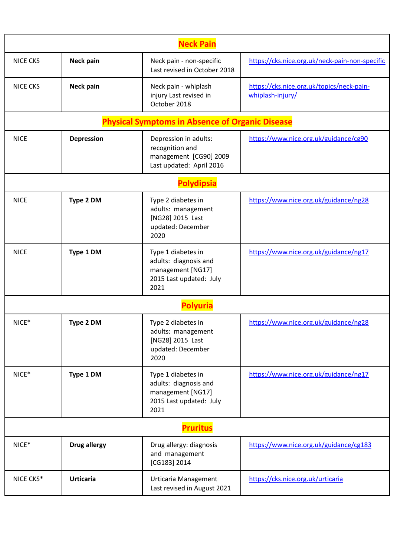| <b>Neck Pain</b> |                     |                                                                                                     |                                                               |  |
|------------------|---------------------|-----------------------------------------------------------------------------------------------------|---------------------------------------------------------------|--|
| <b>NICE CKS</b>  | Neck pain           | Neck pain - non-specific<br>Last revised in October 2018                                            | https://cks.nice.org.uk/neck-pain-non-specific                |  |
| <b>NICE CKS</b>  | Neck pain           | Neck pain - whiplash<br>injury Last revised in<br>October 2018                                      | https://cks.nice.org.uk/topics/neck-pain-<br>whiplash-injury/ |  |
|                  |                     | <b>Physical Symptoms in Absence of Organic Disease</b>                                              |                                                               |  |
| <b>NICE</b>      | <b>Depression</b>   | Depression in adults:<br>recognition and<br>management [CG90] 2009<br>Last updated: April 2016      | https://www.nice.org.uk/guidance/cg90                         |  |
|                  |                     | <b>Polydipsia</b>                                                                                   |                                                               |  |
| <b>NICE</b>      | Type 2 DM           | Type 2 diabetes in<br>adults: management<br>[NG28] 2015 Last<br>updated: December<br>2020           | https://www.nice.org.uk/guidance/ng28                         |  |
| <b>NICE</b>      | Type 1 DM           | Type 1 diabetes in<br>adults: diagnosis and<br>management [NG17]<br>2015 Last updated: July<br>2021 | https://www.nice.org.uk/guidance/ng17                         |  |
|                  |                     | <b>Polyuria</b>                                                                                     |                                                               |  |
| NICE*            | Type 2 DM           | Type 2 diabetes in<br>adults: management<br>[NG28] 2015 Last<br>updated: December<br>2020           | https://www.nice.org.uk/guidance/ng28                         |  |
| NICE*            | Type 1 DM           | Type 1 diabetes in<br>adults: diagnosis and<br>management [NG17]<br>2015 Last updated: July<br>2021 | https://www.nice.org.uk/guidance/ng17                         |  |
| <b>Pruritus</b>  |                     |                                                                                                     |                                                               |  |
| NICE*            | <b>Drug allergy</b> | Drug allergy: diagnosis<br>and management<br>[CG183] 2014                                           | https://www.nice.org.uk/guidance/cg183                        |  |
| NICE CKS*        | <b>Urticaria</b>    | Urticaria Management<br>Last revised in August 2021                                                 | https://cks.nice.org.uk/urticaria                             |  |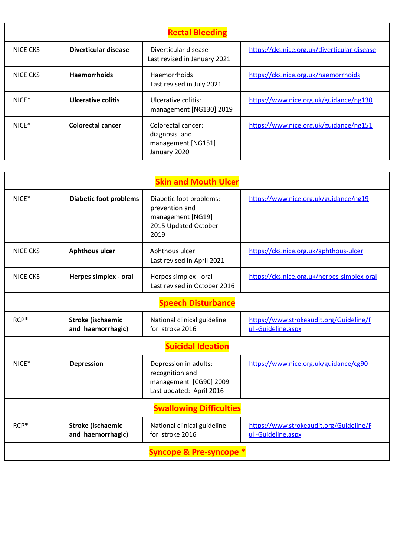| <b>Rectal Bleeding</b> |                      |                                                                           |                                              |  |
|------------------------|----------------------|---------------------------------------------------------------------------|----------------------------------------------|--|
| NICE CKS               | Diverticular disease | Diverticular disease<br>Last revised in January 2021                      | https://cks.nice.org.uk/diverticular-disease |  |
| <b>NICE CKS</b>        | <b>Haemorrhoids</b>  | Haemorrhoids<br>Last revised in July 2021                                 | https://cks.nice.org.uk/haemorrhoids         |  |
| $NICE*$                | Ulcerative colitis   | Ulcerative colitis:<br>management [NG130] 2019                            | https://www.nice.org.uk/guidance/ng130       |  |
| $NICE*$                | Colorectal cancer    | Colorectal cancer:<br>diagnosis and<br>management [NG151]<br>January 2020 | https://www.nice.org.uk/guidance/ng151       |  |

| <b>Skin and Mouth Ulcer</b>        |                                               |                                                                                                |                                                               |  |
|------------------------------------|-----------------------------------------------|------------------------------------------------------------------------------------------------|---------------------------------------------------------------|--|
| NICE*                              | <b>Diabetic foot problems</b>                 | Diabetic foot problems:<br>prevention and<br>management [NG19]<br>2015 Updated October<br>2019 | https://www.nice.org.uk/guidance/ng19                         |  |
| <b>NICE CKS</b>                    | <b>Aphthous ulcer</b>                         | Aphthous ulcer<br>Last revised in April 2021                                                   | https://cks.nice.org.uk/aphthous-ulcer                        |  |
| <b>NICE CKS</b>                    | Herpes simplex - oral                         | Herpes simplex - oral<br>Last revised in October 2016                                          | https://cks.nice.org.uk/herpes-simplex-oral                   |  |
|                                    |                                               | <b>Speech Disturbance</b>                                                                      |                                                               |  |
| RCP*                               | Stroke (ischaemic<br>and haemorrhagic)        | National clinical guideline<br>for stroke 2016                                                 | https://www.strokeaudit.org/Guideline/F<br>ull-Guideline.aspx |  |
|                                    |                                               | <b>Suicidal Ideation</b>                                                                       |                                                               |  |
| NICE*                              | <b>Depression</b>                             | Depression in adults:<br>recognition and<br>management [CG90] 2009<br>Last updated: April 2016 | https://www.nice.org.uk/guidance/cg90                         |  |
| <b>Swallowing Difficulties</b>     |                                               |                                                                                                |                                                               |  |
| RCP*                               | <b>Stroke (ischaemic</b><br>and haemorrhagic) | National clinical guideline<br>for stroke 2016                                                 | https://www.strokeaudit.org/Guideline/F<br>ull-Guideline.aspx |  |
| <b>Syncope &amp; Pre-syncope *</b> |                                               |                                                                                                |                                                               |  |